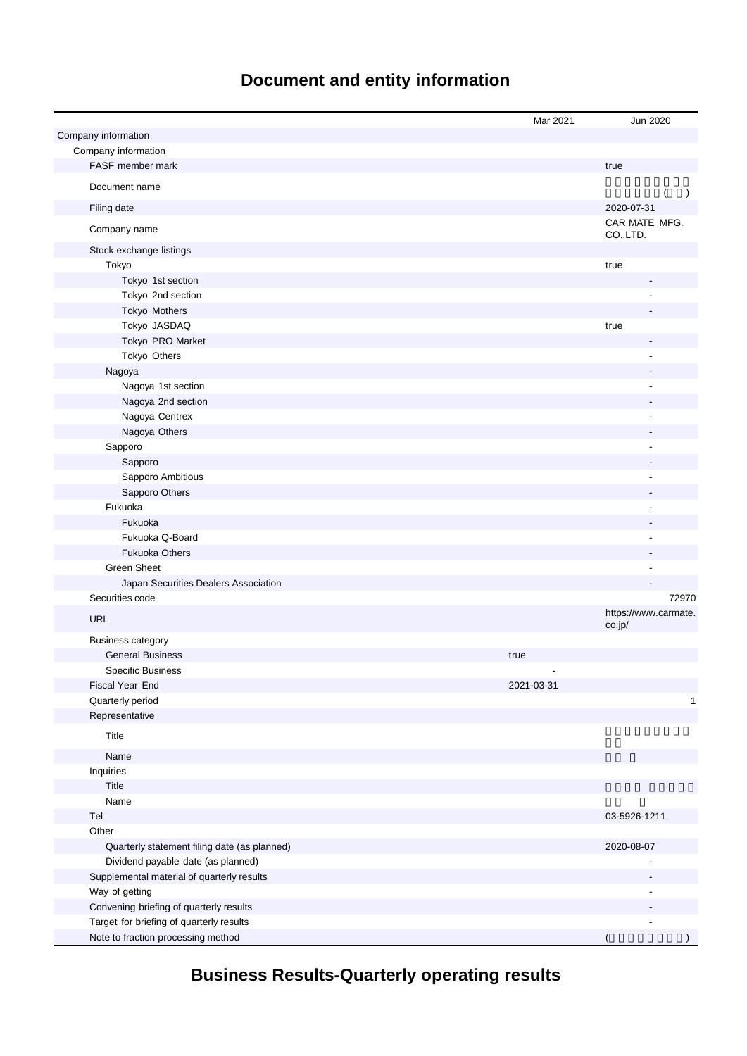# **Document and entity information**

|                                              | Mar 2021   | Jun 2020                  |
|----------------------------------------------|------------|---------------------------|
| Company information                          |            |                           |
| Company information                          |            |                           |
| FASF member mark                             |            | true                      |
| Document name                                |            | $\lambda$                 |
| Filing date                                  |            | 2020-07-31                |
| Company name                                 |            | CAR MATE MFG.<br>CO.,LTD. |
| Stock exchange listings                      |            |                           |
| Tokyo                                        |            | true                      |
| Tokyo 1st section                            |            |                           |
| Tokyo 2nd section                            |            |                           |
| Tokyo Mothers                                |            |                           |
| Tokyo JASDAQ                                 |            | true                      |
| Tokyo PRO Market                             |            |                           |
| Tokyo Others                                 |            |                           |
| Nagoya                                       |            |                           |
| Nagoya 1st section                           |            |                           |
| Nagoya 2nd section                           |            |                           |
| Nagoya Centrex                               |            |                           |
| Nagoya Others                                |            |                           |
| Sapporo                                      |            |                           |
| Sapporo                                      |            |                           |
| Sapporo Ambitious                            |            |                           |
| Sapporo Others                               |            |                           |
| Fukuoka                                      |            |                           |
| Fukuoka                                      |            |                           |
| Fukuoka Q-Board                              |            |                           |
| <b>Fukuoka Others</b>                        |            |                           |
| <b>Green Sheet</b>                           |            |                           |
| Japan Securities Dealers Association         |            |                           |
| Securities code                              |            | 72970                     |
| <b>URL</b>                                   |            | https://www.carmate.      |
|                                              |            | co.jp/                    |
| <b>Business category</b>                     |            |                           |
| <b>General Business</b>                      | true       |                           |
| <b>Specific Business</b>                     |            |                           |
| Fiscal Year End                              | 2021-03-31 |                           |
| Quarterly period                             |            | $\mathbf{1}$              |
| Representative                               |            |                           |
| Title                                        |            |                           |
| Name                                         |            |                           |
| Inquiries                                    |            |                           |
| Title                                        |            |                           |
| Name                                         |            |                           |
| Tel                                          |            | 03-5926-1211              |
| Other                                        |            |                           |
| Quarterly statement filing date (as planned) |            | 2020-08-07                |
| Dividend payable date (as planned)           |            |                           |
| Supplemental material of quarterly results   |            |                           |
| Way of getting                               |            |                           |
| Convening briefing of quarterly results      |            |                           |
| Target for briefing of quarterly results     |            |                           |
| Note to fraction processing method           |            |                           |

**Business Results-Quarterly operating results**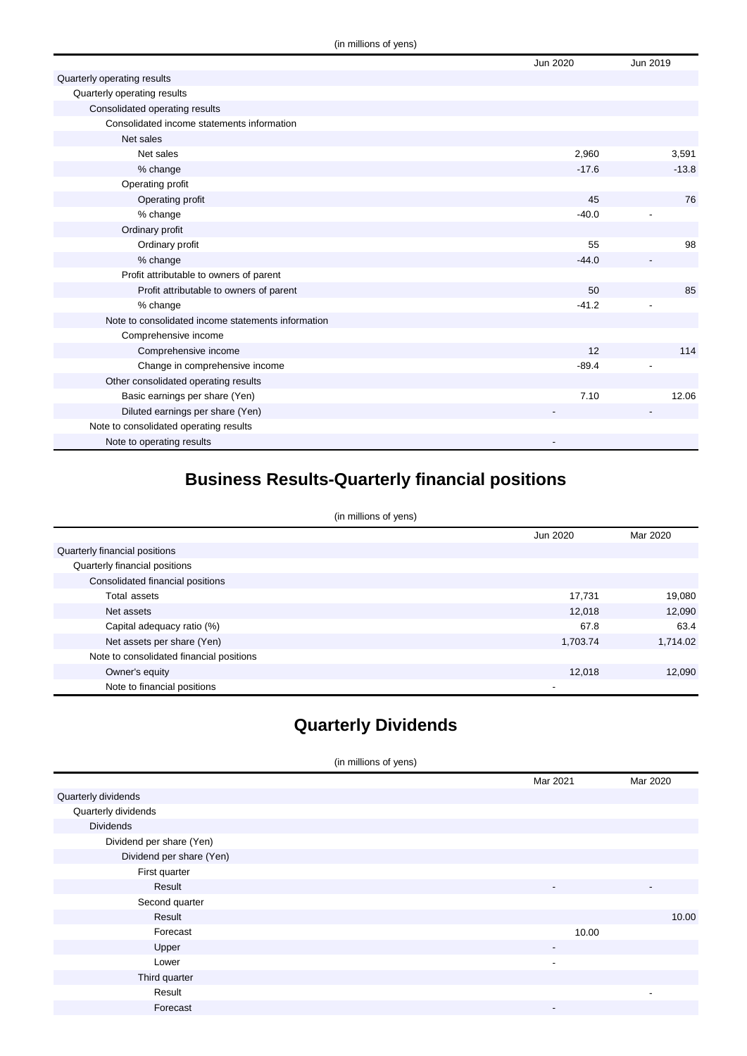|                                                    | Jun 2020 | Jun 2019 |
|----------------------------------------------------|----------|----------|
| Quarterly operating results                        |          |          |
| Quarterly operating results                        |          |          |
| Consolidated operating results                     |          |          |
| Consolidated income statements information         |          |          |
| Net sales                                          |          |          |
| Net sales                                          | 2,960    | 3,591    |
| % change                                           | $-17.6$  | $-13.8$  |
| Operating profit                                   |          |          |
| Operating profit                                   | 45       | 76       |
| % change                                           | $-40.0$  |          |
| Ordinary profit                                    |          |          |
| Ordinary profit                                    | 55       | 98       |
| % change                                           | $-44.0$  |          |
| Profit attributable to owners of parent            |          |          |
| Profit attributable to owners of parent            | 50       | 85       |
| % change                                           | $-41.2$  |          |
| Note to consolidated income statements information |          |          |
| Comprehensive income                               |          |          |
| Comprehensive income                               | 12       | 114      |
| Change in comprehensive income                     | $-89.4$  |          |
| Other consolidated operating results               |          |          |
| Basic earnings per share (Yen)                     | 7.10     | 12.06    |
| Diluted earnings per share (Yen)                   |          |          |
| Note to consolidated operating results             |          |          |
| Note to operating results                          |          |          |

## **Business Results-Quarterly financial positions**

(in millions of yens)

|                                          | Jun 2020 | Mar 2020 |
|------------------------------------------|----------|----------|
| Quarterly financial positions            |          |          |
| Quarterly financial positions            |          |          |
| Consolidated financial positions         |          |          |
| Total assets                             | 17,731   | 19,080   |
| Net assets                               | 12.018   | 12,090   |
| Capital adequacy ratio (%)               | 67.8     | 63.4     |
| Net assets per share (Yen)               | 1,703.74 | 1,714.02 |
| Note to consolidated financial positions |          |          |
| Owner's equity                           | 12,018   | 12,090   |
| Note to financial positions              | ۰        |          |

## **Quarterly Dividends**

(in millions of yens)

|                          | Mar 2021                 | Mar 2020                 |
|--------------------------|--------------------------|--------------------------|
| Quarterly dividends      |                          |                          |
| Quarterly dividends      |                          |                          |
| <b>Dividends</b>         |                          |                          |
| Dividend per share (Yen) |                          |                          |
| Dividend per share (Yen) |                          |                          |
| First quarter            |                          |                          |
| Result                   | -                        | $\overline{\phantom{a}}$ |
| Second quarter           |                          |                          |
| Result                   |                          | 10.00                    |
| Forecast                 | 10.00                    |                          |
| Upper                    | $\overline{\phantom{a}}$ |                          |
| Lower                    | $\overline{\phantom{a}}$ |                          |
| Third quarter            |                          |                          |
| Result                   |                          | -                        |
| Forecast                 | $\overline{\phantom{a}}$ |                          |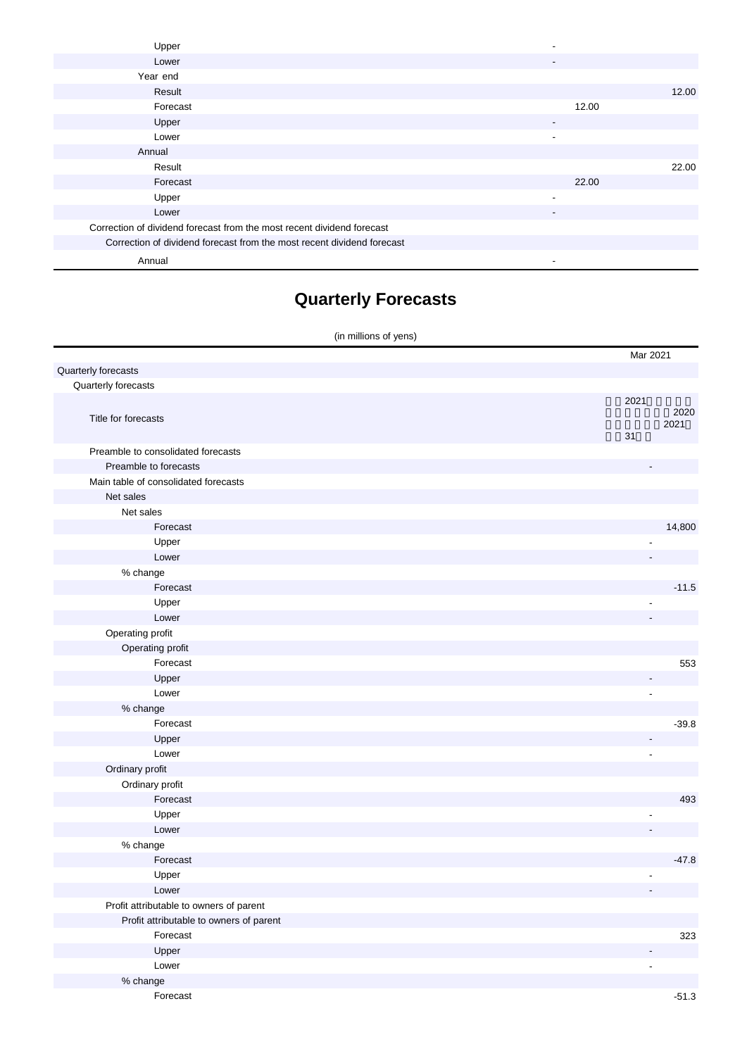| Upper                                                                  |                          |       |       |
|------------------------------------------------------------------------|--------------------------|-------|-------|
| Lower                                                                  | -                        |       |       |
| Year end                                                               |                          |       |       |
| Result                                                                 |                          |       | 12.00 |
| Forecast                                                               |                          | 12.00 |       |
| Upper                                                                  | $\overline{\phantom{a}}$ |       |       |
| Lower                                                                  | $\blacksquare$           |       |       |
| Annual                                                                 |                          |       |       |
| Result                                                                 |                          |       | 22.00 |
| Forecast                                                               |                          | 22.00 |       |
| Upper                                                                  | $\overline{\phantom{a}}$ |       |       |
| Lower                                                                  | $\overline{\phantom{a}}$ |       |       |
| Correction of dividend forecast from the most recent dividend forecast |                          |       |       |
| Correction of dividend forecast from the most recent dividend forecast |                          |       |       |
| Annual                                                                 |                          |       |       |

# **Quarterly Forecasts**

| (in millions of yens)                   |                |
|-----------------------------------------|----------------|
|                                         | Mar 2021       |
| Quarterly forecasts                     |                |
| Quarterly forecasts                     |                |
|                                         | 2021           |
| Title for forecasts                     | 2020           |
|                                         | 2021<br>31     |
| Preamble to consolidated forecasts      |                |
| Preamble to forecasts                   |                |
| Main table of consolidated forecasts    |                |
| Net sales                               |                |
| Net sales                               |                |
| Forecast                                | 14,800         |
| Upper                                   |                |
| Lower                                   |                |
| % change                                |                |
| Forecast                                | $-11.5$        |
| Upper                                   |                |
| Lower                                   |                |
| Operating profit                        |                |
| Operating profit                        |                |
| Forecast                                | 553            |
| Upper                                   |                |
| Lower                                   |                |
| % change                                |                |
| Forecast                                | $-39.8$        |
| Upper                                   |                |
| Lower                                   |                |
| Ordinary profit                         |                |
| Ordinary profit                         |                |
| Forecast                                | 493            |
| Upper                                   |                |
| Lower                                   |                |
| % change                                |                |
| Forecast                                | $-47.8$        |
| Upper                                   |                |
| Lower                                   |                |
| Profit attributable to owners of parent |                |
| Profit attributable to owners of parent |                |
| Forecast                                | 323            |
| Upper                                   |                |
| Lower                                   | $\overline{a}$ |
| % change                                |                |

Forecast -51.3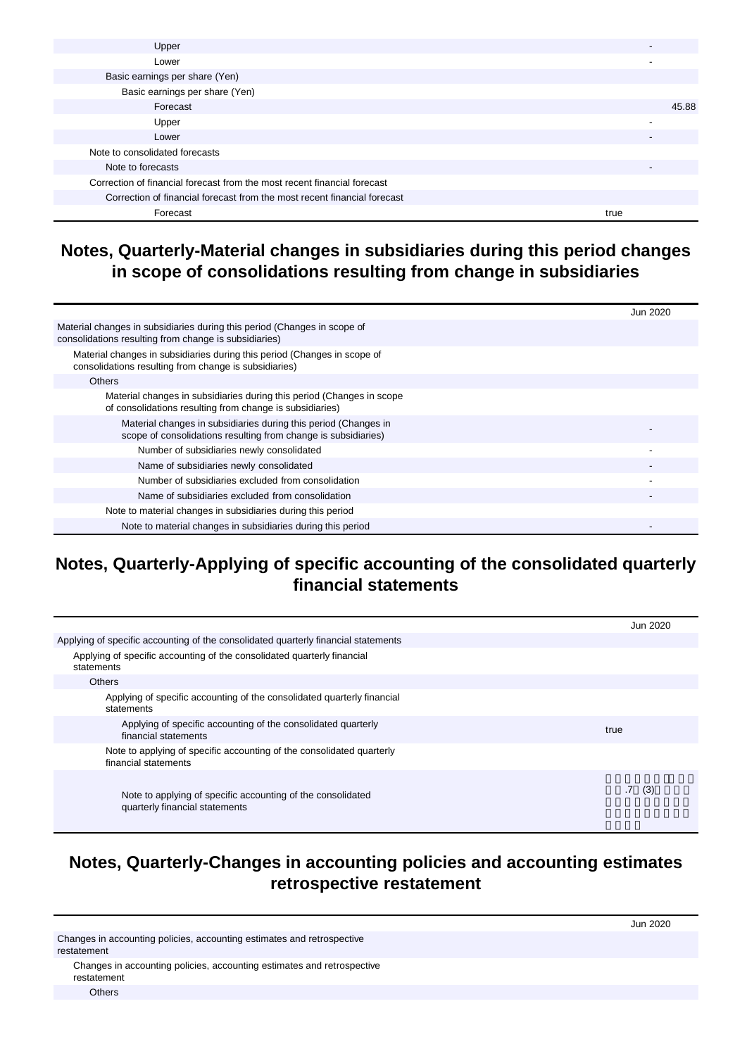| Upper                                                                    |      |       |
|--------------------------------------------------------------------------|------|-------|
| Lower                                                                    |      |       |
| Basic earnings per share (Yen)                                           |      |       |
| Basic earnings per share (Yen)                                           |      |       |
| Forecast                                                                 |      | 45.88 |
| Upper                                                                    |      |       |
| Lower                                                                    |      |       |
| Note to consolidated forecasts                                           |      |       |
| Note to forecasts                                                        |      |       |
| Correction of financial forecast from the most recent financial forecast |      |       |
| Correction of financial forecast from the most recent financial forecast |      |       |
| Forecast                                                                 | true |       |
|                                                                          |      |       |

#### **Notes, Quarterly-Material changes in subsidiaries during this period changes in scope of consolidations resulting from change in subsidiaries**

|                                                                                                                                   | Jun 2020 |
|-----------------------------------------------------------------------------------------------------------------------------------|----------|
| Material changes in subsidiaries during this period (Changes in scope of<br>consolidations resulting from change is subsidiaries) |          |
| Material changes in subsidiaries during this period (Changes in scope of<br>consolidations resulting from change is subsidiaries) |          |
| <b>Others</b>                                                                                                                     |          |
| Material changes in subsidiaries during this period (Changes in scope<br>of consolidations resulting from change is subsidiaries) |          |
| Material changes in subsidiaries during this period (Changes in<br>scope of consolidations resulting from change is subsidiaries) |          |
| Number of subsidiaries newly consolidated                                                                                         |          |
| Name of subsidiaries newly consolidated                                                                                           |          |
| Number of subsidiaries excluded from consolidation                                                                                |          |
| Name of subsidiaries excluded from consolidation                                                                                  |          |
| Note to material changes in subsidiaries during this period                                                                       |          |
| Note to material changes in subsidiaries during this period                                                                       |          |

#### **Notes, Quarterly-Applying of specific accounting of the consolidated quarterly financial statements**

|                                                                                               | Jun 2020               |
|-----------------------------------------------------------------------------------------------|------------------------|
| Applying of specific accounting of the consolidated quarterly financial statements            |                        |
| Applying of specific accounting of the consolidated quarterly financial<br>statements         |                        |
| Others                                                                                        |                        |
| Applying of specific accounting of the consolidated quarterly financial<br>statements         |                        |
| Applying of specific accounting of the consolidated quarterly<br>financial statements         | true                   |
| Note to applying of specific accounting of the consolidated quarterly<br>financial statements |                        |
| Note to applying of specific accounting of the consolidated<br>quarterly financial statements | (3)<br>$.7\phantom{0}$ |

#### **Notes, Quarterly-Changes in accounting policies and accounting estimates retrospective restatement**

|                                                                                       | Jun 2020 |
|---------------------------------------------------------------------------------------|----------|
| Changes in accounting policies, accounting estimates and retrospective<br>restatement |          |
| Changes in accounting policies, accounting estimates and retrospective<br>restatement |          |

**Others**